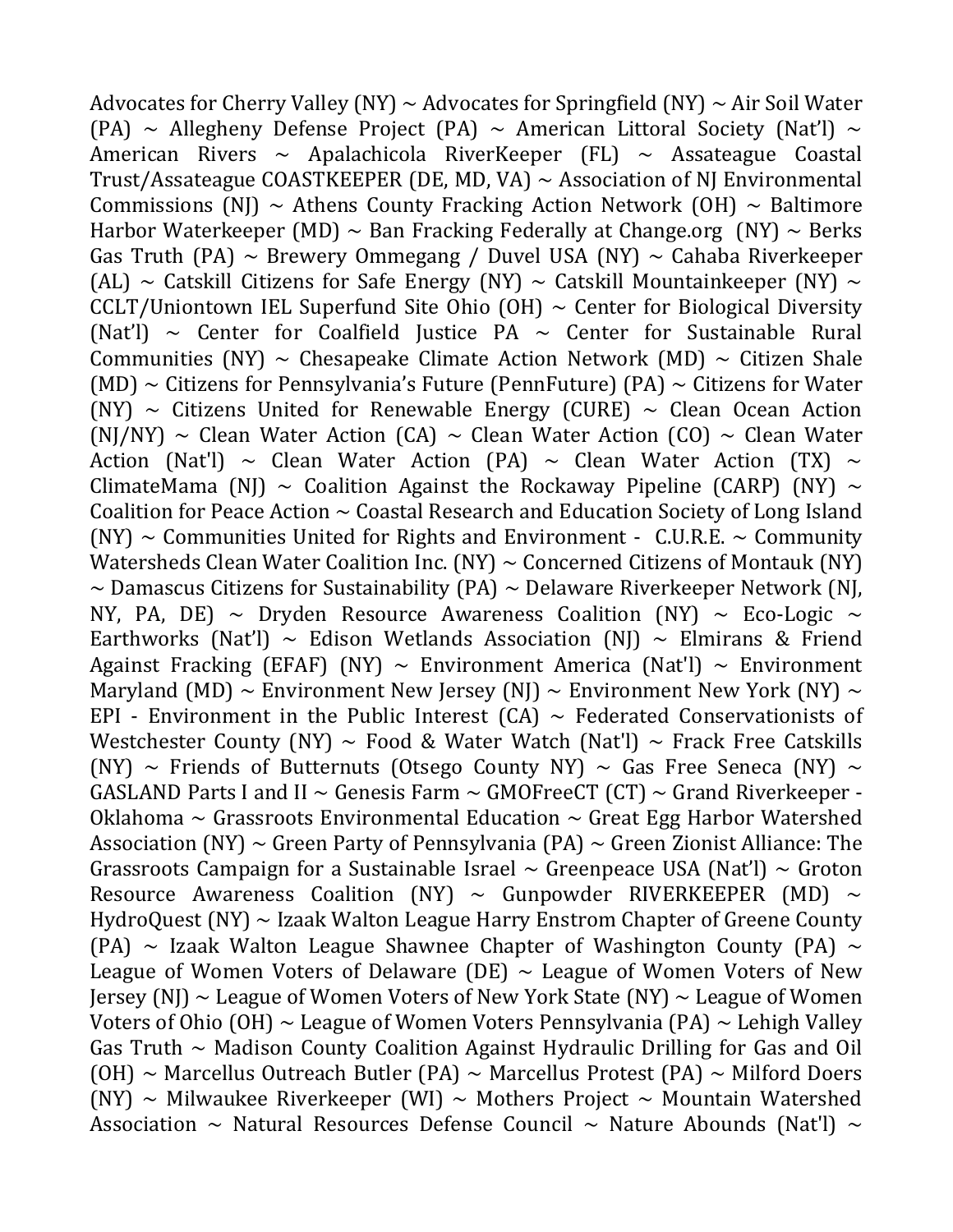Advocates for Cherry Valley (NY)  $\sim$  Advocates for Springfield (NY)  $\sim$  Air Soil Water (PA)  $\sim$  Allegheny Defense Project (PA)  $\sim$  American Littoral Society (Nat'l)  $\sim$ American Rivers  $\sim$  Apalachicola RiverKeeper (FL)  $\sim$  Assateague Coastal Trust/Assateague COASTKEEPER (DE, MD, VA)  $\sim$  Association of NJ Environmental Commissions (NJ)  $\sim$  Athens County Fracking Action Network (OH)  $\sim$  Baltimore Harbor Waterkeeper (MD)  $\sim$  Ban Fracking Federally at Change.org (NY)  $\sim$  Berks Gas Truth (PA)  $\sim$  Brewery Ommegang / Duvel USA (NY)  $\sim$  Cahaba Riverkeeper (AL)  $\sim$  Catskill Citizens for Safe Energy (NY)  $\sim$  Catskill Mountainkeeper (NY)  $\sim$ CCLT/Uniontown IEL Superfund Site Ohio  $(OH) \sim$  Center for Biological Diversity (Nat'l)  $\sim$  Center for Coalfield Justice PA  $\sim$  Center for Sustainable Rural Communities (NY)  $\sim$  Chesapeake Climate Action Network (MD)  $\sim$  Citizen Shale (MD)  $\sim$  Citizens for Pennsylvania's Future (PennFuture) (PA)  $\sim$  Citizens for Water (NY)  $\sim$  Citizens United for Renewable Energy (CURE)  $\sim$  Clean Ocean Action (NJ/NY) ~ Clean Water Action (CA) ~ Clean Water Action (CO) ~ Clean Water Action (Nat'l) ~ Clean Water Action (PA) ~ Clean Water Action (TX) ~ ClimateMama (NJ)  $\sim$  Coalition Against the Rockaway Pipeline (CARP) (NY)  $\sim$ Coalition for Peace Action  $\sim$  Coastal Research and Education Society of Long Island  $(NY) \sim$  Communities United for Rights and Environment - C.U.R.E.  $\sim$  Community Watersheds Clean Water Coalition Inc.  $(NY) \sim$  Concerned Citizens of Montauk  $(NY)$  $\sim$  Damascus Citizens for Sustainability (PA)  $\sim$  Delaware Riverkeeper Network (NJ, NY, PA, DE)  $\sim$  Dryden Resource Awareness Coalition (NY)  $\sim$  Eco-Logic  $\sim$ Earthworks (Nat'l) ~ Edison Wetlands Association (NJ) ~ Elmirans & Friend Against Fracking (EFAF) (NY)  $\sim$  Environment America (Nat'l)  $\sim$  Environment Maryland (MD)  $\sim$  Environment New Jersey (NJ)  $\sim$  Environment New York (NY)  $\sim$ EPI - Environment in the Public Interest  $(CA) \sim$  Federated Conservationists of Westchester County (NY)  $\sim$  Food & Water Watch (Nat'l)  $\sim$  Frack Free Catskills (NY)  $\sim$  Friends of Butternuts (Otsego County NY)  $\sim$  Gas Free Seneca (NY)  $\sim$ GASLAND Parts I and II  $\sim$  Genesis Farm  $\sim$  GMOFreeCT (CT)  $\sim$  Grand Riverkeeper -Oklahoma  $\sim$  Grassroots Environmental Education  $\sim$  Great Egg Harbor Watershed Association (NY)  $\sim$  Green Party of Pennsylvania (PA)  $\sim$  Green Zionist Alliance: The Grassroots Campaign for a Sustainable Israel  $\sim$  Greenpeace USA (Nat'l)  $\sim$  Groton Resource Awareness Coalition (NY)  $\sim$  Gunpowder RIVERKEEPER (MD)  $\sim$ HydroQuest (NY) ~ Izaak Walton League Harry Enstrom Chapter of Greene County (PA)  $\sim$  Izaak Walton League Shawnee Chapter of Washington County (PA)  $\sim$ League of Women Voters of Delaware (DE)  $\sim$  League of Women Voters of New Jersey (NJ)  $\sim$  League of Women Voters of New York State (NY)  $\sim$  League of Women Voters of Ohio (OH)  $\sim$  League of Women Voters Pennsylvania (PA)  $\sim$  Lehigh Valley Gas Truth  $\sim$  Madison County Coalition Against Hydraulic Drilling for Gas and Oil (OH)  $\sim$  Marcellus Outreach Butler (PA)  $\sim$  Marcellus Protest (PA)  $\sim$  Milford Doers (NY)  $\sim$  Milwaukee Riverkeeper (WI)  $\sim$  Mothers Project  $\sim$  Mountain Watershed Association  $\sim$  Natural Resources Defense Council  $\sim$  Nature Abounds (Nat'l)  $\sim$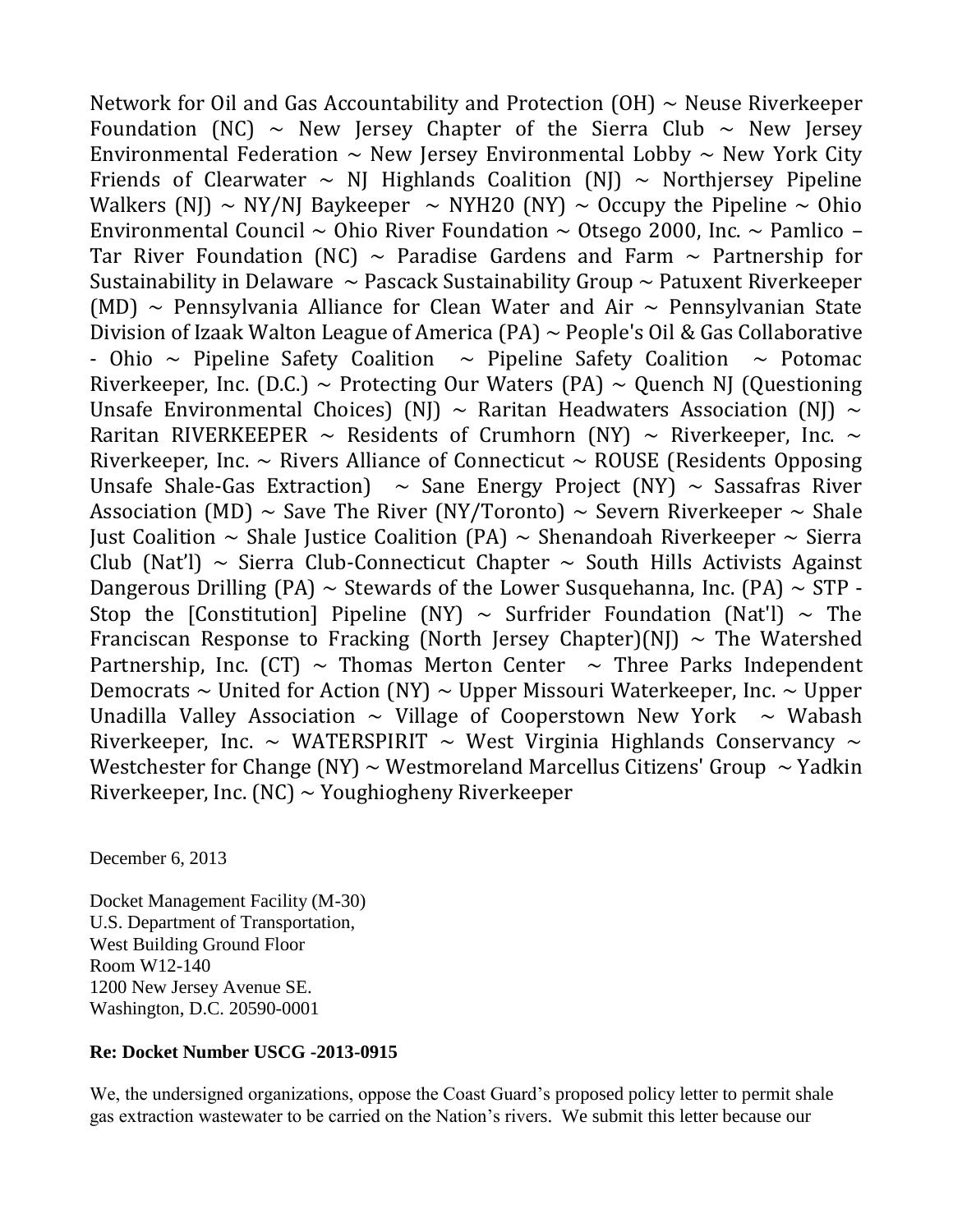Network for Oil and Gas Accountability and Protection  $(OH) \sim$  Neuse Riverkeeper Foundation (NC)  $\sim$  New Jersey Chapter of the Sierra Club  $\sim$  New Jersey Environmental Federation  $\sim$  New Jersey Environmental Lobby  $\sim$  New York City Friends of Clearwater  $\sim$  NJ Highlands Coalition (NJ)  $\sim$  Northjersey Pipeline Walkers (NJ)  $\sim$  NY/NJ Baykeeper  $\sim$  NYH20 (NY)  $\sim$  Occupy the Pipeline  $\sim$  Ohio Environmental Council  $\sim$  Ohio River Foundation  $\sim$  Otsego 2000, Inc.  $\sim$  Pamlico – Tar River Foundation (NC)  $\sim$  Paradise Gardens and Farm  $\sim$  Partnership for Sustainability in Delaware  $\sim$  Pascack Sustainability Group  $\sim$  Patuxent Riverkeeper (MD)  $\sim$  Pennsylvania Alliance for Clean Water and Air  $\sim$  Pennsylvanian State Division of Izaak Walton League of America (PA)  $\sim$  People's Oil & Gas Collaborative - Ohio  $\sim$  Pipeline Safety Coalition  $\sim$  Pipeline Safety Coalition  $\sim$  Potomac Riverkeeper, Inc. (D.C.) ~ Protecting Our Waters (PA) ~ Quench NJ (Questioning Unsafe Environmental Choices) (NJ)  $\sim$  Raritan Headwaters Association (NJ)  $\sim$ Raritan RIVERKEEPER  $\sim$  Residents of Crumhorn (NY)  $\sim$  Riverkeeper, Inc.  $\sim$ Riverkeeper, Inc.  $\sim$  Rivers Alliance of Connecticut  $\sim$  ROUSE (Residents Opposing Unsafe Shale-Gas Extraction)  $\sim$  Sane Energy Project (NY)  $\sim$  Sassafras River Association (MD)  $\sim$  Save The River (NY/Toronto)  $\sim$  Severn Riverkeeper  $\sim$  Shale Just Coalition  $\sim$  Shale Justice Coalition (PA)  $\sim$  Shenandoah Riverkeeper  $\sim$  Sierra Club (Nat'l)  $\sim$  Sierra Club-Connecticut Chapter  $\sim$  South Hills Activists Against Dangerous Drilling (PA)  $\sim$  Stewards of the Lower Susquehanna, Inc. (PA)  $\sim$  STP -Stop the [Constitution] Pipeline (NY)  $\sim$  Surfrider Foundation (Nat'l)  $\sim$  The Franciscan Response to Fracking (North Jersey Chapter)(NJ)  $\sim$  The Watershed Partnership, Inc. (CT)  $\sim$  Thomas Merton Center  $\sim$  Three Parks Independent Democrats  $\sim$  United for Action (NY)  $\sim$  Upper Missouri Waterkeeper, Inc.  $\sim$  Upper Unadilla Valley Association  $\sim$  Village of Cooperstown New York  $\sim$  Wabash Riverkeeper, Inc. ~ WATERSPIRIT ~ West Virginia Highlands Conservancy ~ Westchester for Change (NY)  $\sim$  Westmoreland Marcellus Citizens' Group  $\sim$  Yadkin Riverkeeper, Inc. (NC)  $\sim$  Youghiogheny Riverkeeper

December 6, 2013

Docket Management Facility (M-30) U.S. Department of Transportation, West Building Ground Floor Room W12-140 1200 New Jersey Avenue SE. Washington, D.C. 20590-0001

### **Re: Docket Number USCG -2013-0915**

We, the undersigned organizations, oppose the Coast Guard's proposed policy letter to permit shale gas extraction wastewater to be carried on the Nation's rivers. We submit this letter because our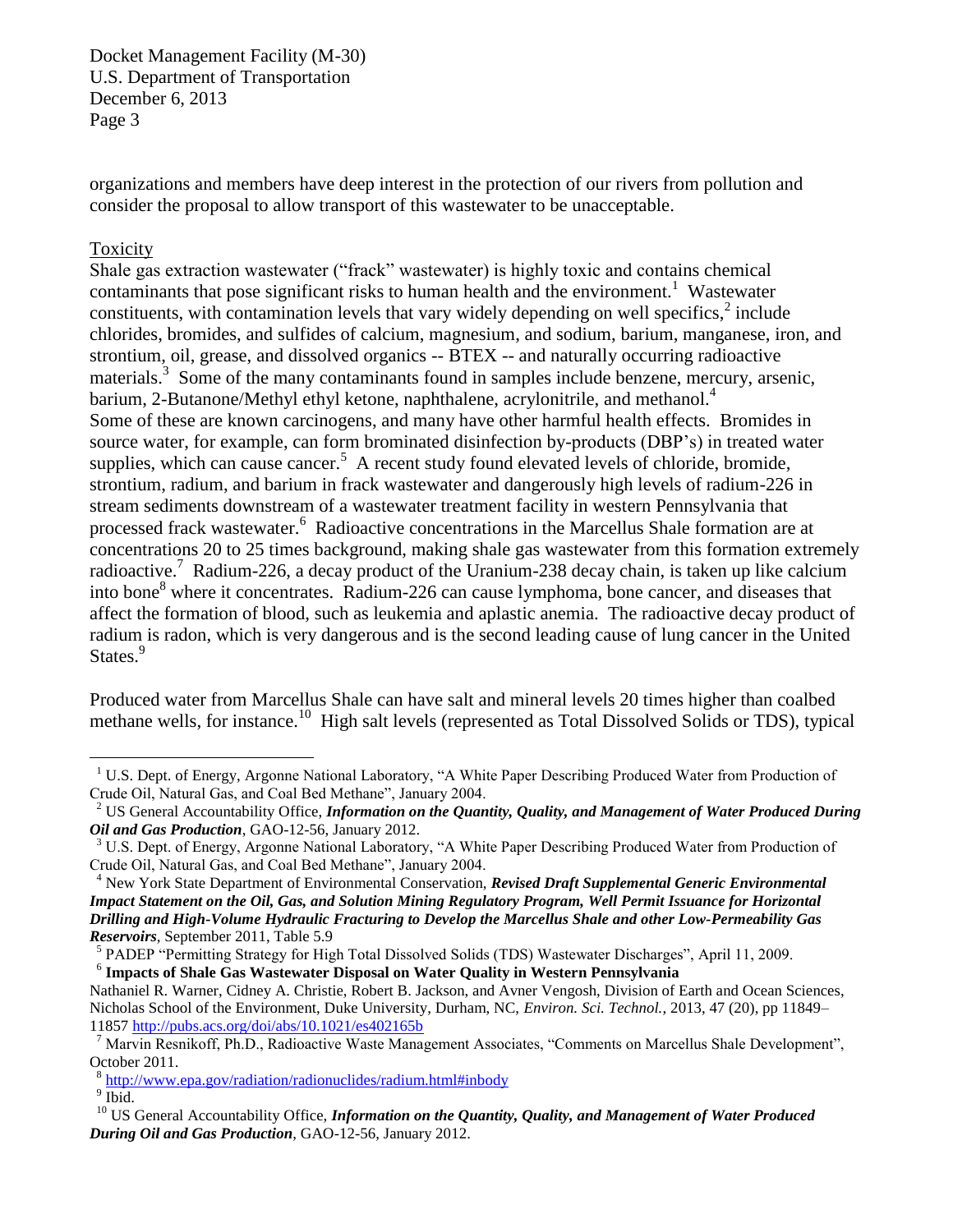organizations and members have deep interest in the protection of our rivers from pollution and consider the proposal to allow transport of this wastewater to be unacceptable.

## Toxicity

Shale gas extraction wastewater ("frack" wastewater) is highly toxic and contains chemical contaminants that pose significant risks to human health and the environment.<sup>1</sup> Wastewater constituents, with contamination levels that vary widely depending on well specifics, $2$  include chlorides, bromides, and sulfides of calcium, magnesium, and sodium, barium, manganese, iron, and strontium, oil, grease, and dissolved organics -- BTEX -- and naturally occurring radioactive materials.<sup>3</sup> Some of the many contaminants found in samples include benzene, mercury, arsenic, barium, 2-Butanone/Methyl ethyl ketone, naphthalene, acrylonitrile, and methanol.<sup>4</sup> Some of these are known carcinogens, and many have other harmful health effects. Bromides in source water, for example, can form brominated disinfection by-products (DBP's) in treated water supplies, which can cause cancer.<sup>5</sup> A recent study found elevated levels of chloride, bromide, strontium, radium, and barium in frack wastewater and dangerously high levels of radium-226 in stream sediments downstream of a wastewater treatment facility in western Pennsylvania that processed frack wastewater.<sup>6</sup> Radioactive concentrations in the Marcellus Shale formation are at concentrations 20 to 25 times background, making shale gas wastewater from this formation extremely radioactive.<sup>7</sup> Radium-226, a decay product of the Uranium-238 decay chain, is taken up like calcium into bone<sup>8</sup> where it concentrates. Radium-226 can cause lymphoma, bone cancer, and diseases that affect the formation of blood, such as leukemia and aplastic anemia. The radioactive decay product of radium is radon, which is very dangerous and is the second leading cause of lung cancer in the United States.<sup>9</sup>

Produced water from Marcellus Shale can have salt and mineral levels 20 times higher than coalbed methane wells, for instance.<sup>10</sup> High salt levels (represented as Total Dissolved Solids or TDS), typical

6 **Impacts of Shale Gas Wastewater Disposal on Water Quality in Western Pennsylvania**

<sup>&</sup>lt;sup>1</sup> U.S. Dept. of Energy, Argonne National Laboratory, "A White Paper Describing Produced Water from Production of Crude Oil, Natural Gas, and Coal Bed Methane", January 2004.

<sup>2</sup> US General Accountability Office, *Information on the Quantity, Quality, and Management of Water Produced During Oil and Gas Production*, GAO-12-56, January 2012.

<sup>&</sup>lt;sup>3</sup> U.S. Dept. of Energy, Argonne National Laboratory, "A White Paper Describing Produced Water from Production of Crude Oil, Natural Gas, and Coal Bed Methane", January 2004.

<sup>4</sup> New York State Department of Environmental Conservation, *Revised Draft Supplemental Generic Environmental Impact Statement on the Oil, Gas, and Solution Mining Regulatory Program, Well Permit Issuance for Horizontal Drilling and High-Volume Hydraulic Fracturing to Develop the Marcellus Shale and other Low-Permeability Gas Reservoirs*, September 2011, Table 5.9

<sup>&</sup>lt;sup>5</sup> PADEP "Permitting Strategy for High Total Dissolved Solids (TDS) Wastewater Discharges", April 11, 2009.

Nathaniel R. Warner, Cidney A. Christie, Robert B. Jackson, and Avner Vengosh, Division of Earth and Ocean Sciences, Nicholas School of the Environment, Duke University, Durham, NC, *Environ. Sci. Technol.*, 2013, 47 (20), pp 11849– 11857<http://pubs.acs.org/doi/abs/10.1021/es402165b>

<sup>7</sup> Marvin Resnikoff, Ph.D., Radioactive Waste Management Associates, "Comments on Marcellus Shale Development", October 2011.

<sup>&</sup>lt;sup>8</sup> <http://www.epa.gov/radiation/radionuclides/radium.html#inbody>

 $9 \overline{\text{Ibid.}}$ 

<sup>&</sup>lt;sup>10</sup> US General Accountability Office, *Information on the Quantity, Quality, and Management of Water Produced During Oil and Gas Production*, GAO-12-56, January 2012.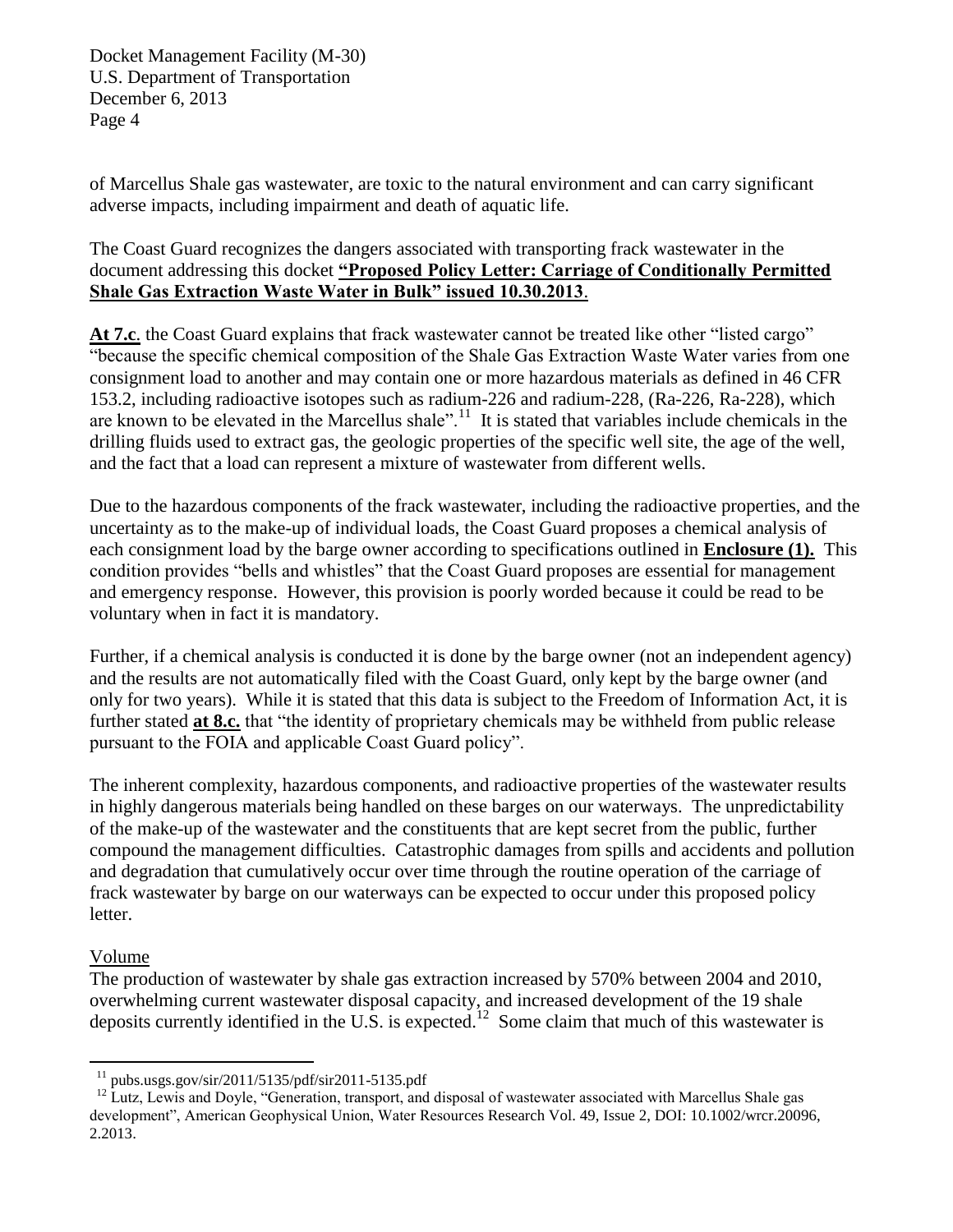of Marcellus Shale gas wastewater, are toxic to the natural environment and can carry significant adverse impacts, including impairment and death of aquatic life.

# The Coast Guard recognizes the dangers associated with transporting frack wastewater in the document addressing this docket **"Proposed Policy Letter: Carriage of Conditionally Permitted Shale Gas Extraction Waste Water in Bulk" issued 10.30.2013**.

At 7.c. the Coast Guard explains that frack wastewater cannot be treated like other "listed cargo" "because the specific chemical composition of the Shale Gas Extraction Waste Water varies from one consignment load to another and may contain one or more hazardous materials as defined in 46 CFR 153.2, including radioactive isotopes such as radium-226 and radium-228, (Ra-226, Ra-228), which are known to be elevated in the Marcellus shale".<sup>11</sup> It is stated that variables include chemicals in the drilling fluids used to extract gas, the geologic properties of the specific well site, the age of the well, and the fact that a load can represent a mixture of wastewater from different wells.

Due to the hazardous components of the frack wastewater, including the radioactive properties, and the uncertainty as to the make-up of individual loads, the Coast Guard proposes a chemical analysis of each consignment load by the barge owner according to specifications outlined in **Enclosure (1).** This condition provides "bells and whistles" that the Coast Guard proposes are essential for management and emergency response. However, this provision is poorly worded because it could be read to be voluntary when in fact it is mandatory.

Further, if a chemical analysis is conducted it is done by the barge owner (not an independent agency) and the results are not automatically filed with the Coast Guard, only kept by the barge owner (and only for two years). While it is stated that this data is subject to the Freedom of Information Act, it is further stated **at 8.c.** that "the identity of proprietary chemicals may be withheld from public release pursuant to the FOIA and applicable Coast Guard policy".

The inherent complexity, hazardous components, and radioactive properties of the wastewater results in highly dangerous materials being handled on these barges on our waterways. The unpredictability of the make-up of the wastewater and the constituents that are kept secret from the public, further compound the management difficulties. Catastrophic damages from spills and accidents and pollution and degradation that cumulatively occur over time through the routine operation of the carriage of frack wastewater by barge on our waterways can be expected to occur under this proposed policy letter.

# Volume

The production of wastewater by shale gas extraction increased by 570% between 2004 and 2010, overwhelming current wastewater disposal capacity, and increased development of the 19 shale deposits currently identified in the U.S. is expected.<sup>12</sup> Some claim that much of this wastewater is

 $\overline{a}$ <sup>11</sup> pubs.usgs.gov/sir/2011/5135/pdf/sir2011-5135.pdf

<sup>&</sup>lt;sup>12</sup> Lutz, Lewis and Doyle, "Generation, transport, and disposal of wastewater associated with Marcellus Shale gas development", American Geophysical Union, Water Resources Research Vol. 49, Issue 2, DOI: 10.1002/wrcr.20096, 2.2013.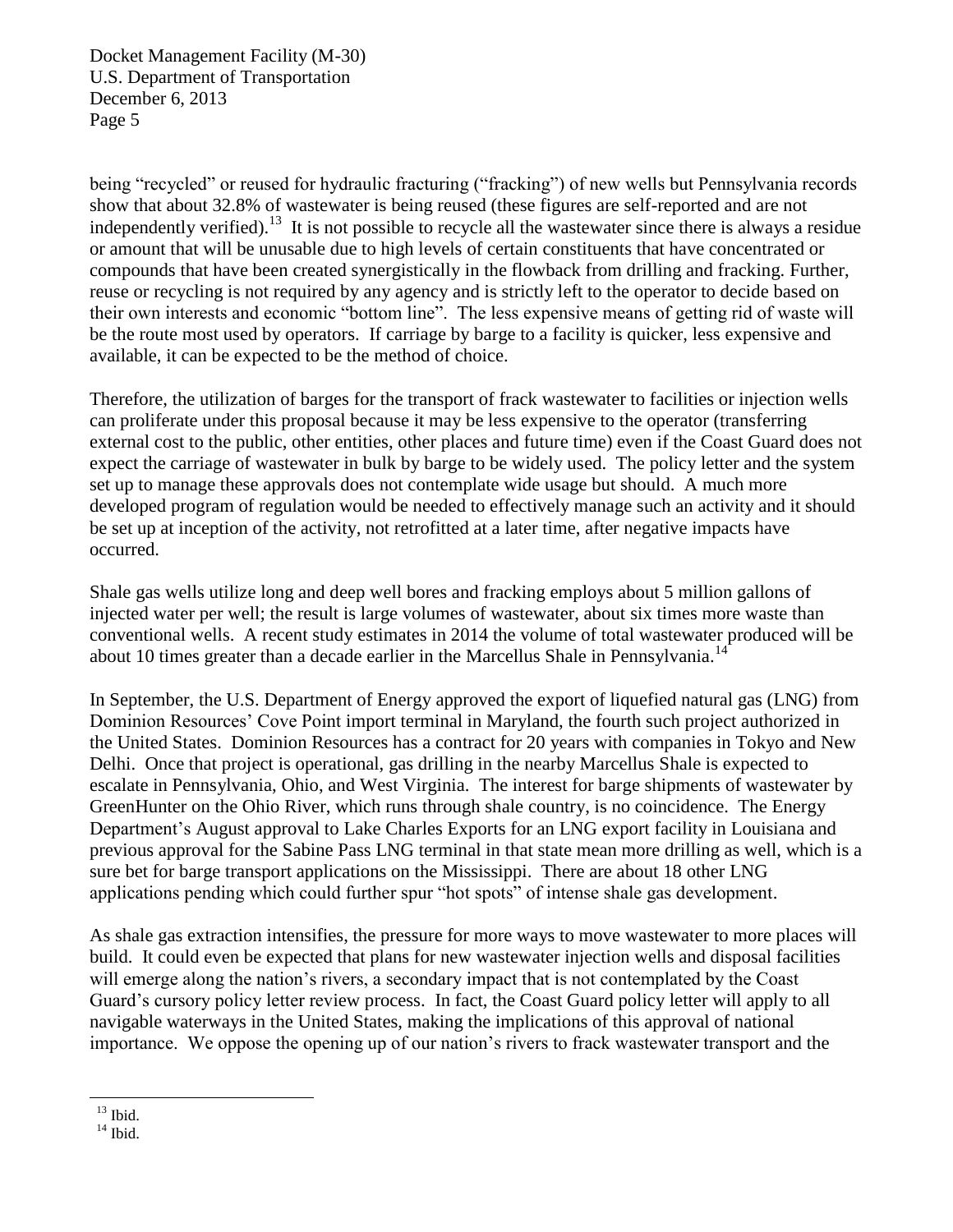being "recycled" or reused for hydraulic fracturing ("fracking") of new wells but Pennsylvania records show that about 32.8% of wastewater is being reused (these figures are self-reported and are not independently verified).<sup>13</sup> It is not possible to recycle all the wastewater since there is always a residue or amount that will be unusable due to high levels of certain constituents that have concentrated or compounds that have been created synergistically in the flowback from drilling and fracking. Further, reuse or recycling is not required by any agency and is strictly left to the operator to decide based on their own interests and economic "bottom line". The less expensive means of getting rid of waste will be the route most used by operators. If carriage by barge to a facility is quicker, less expensive and available, it can be expected to be the method of choice.

Therefore, the utilization of barges for the transport of frack wastewater to facilities or injection wells can proliferate under this proposal because it may be less expensive to the operator (transferring external cost to the public, other entities, other places and future time) even if the Coast Guard does not expect the carriage of wastewater in bulk by barge to be widely used. The policy letter and the system set up to manage these approvals does not contemplate wide usage but should. A much more developed program of regulation would be needed to effectively manage such an activity and it should be set up at inception of the activity, not retrofitted at a later time, after negative impacts have occurred.

Shale gas wells utilize long and deep well bores and fracking employs about 5 million gallons of injected water per well; the result is large volumes of wastewater, about six times more waste than conventional wells. A recent study estimates in 2014 the volume of total wastewater produced will be about 10 times greater than a decade earlier in the Marcellus Shale in Pennsylvania.<sup>14</sup>

In September, the U.S. Department of Energy approved the export of liquefied natural gas (LNG) from Dominion Resources' Cove Point import terminal in Maryland, the fourth such project authorized in the United States. Dominion Resources has a contract for 20 years with companies in Tokyo and New Delhi. Once that project is operational, gas drilling in the nearby Marcellus Shale is expected to escalate in Pennsylvania, Ohio, and West Virginia. The interest for barge shipments of wastewater by GreenHunter on the Ohio River, which runs through shale country, is no coincidence. The Energy Department's August approval to Lake Charles Exports for an LNG export facility in Louisiana and previous approval for the Sabine Pass LNG terminal in that state mean more drilling as well, which is a sure bet for barge transport applications on the Mississippi. There are about 18 other LNG applications pending which could further spur "hot spots" of intense shale gas development.

As shale gas extraction intensifies, the pressure for more ways to move wastewater to more places will build. It could even be expected that plans for new wastewater injection wells and disposal facilities will emerge along the nation's rivers, a secondary impact that is not contemplated by the Coast Guard's cursory policy letter review process. In fact, the Coast Guard policy letter will apply to all navigable waterways in the United States, making the implications of this approval of national importance. We oppose the opening up of our nation's rivers to frack wastewater transport and the

 $^{\rm 13}$  Ibid.

 $14$  Ibid.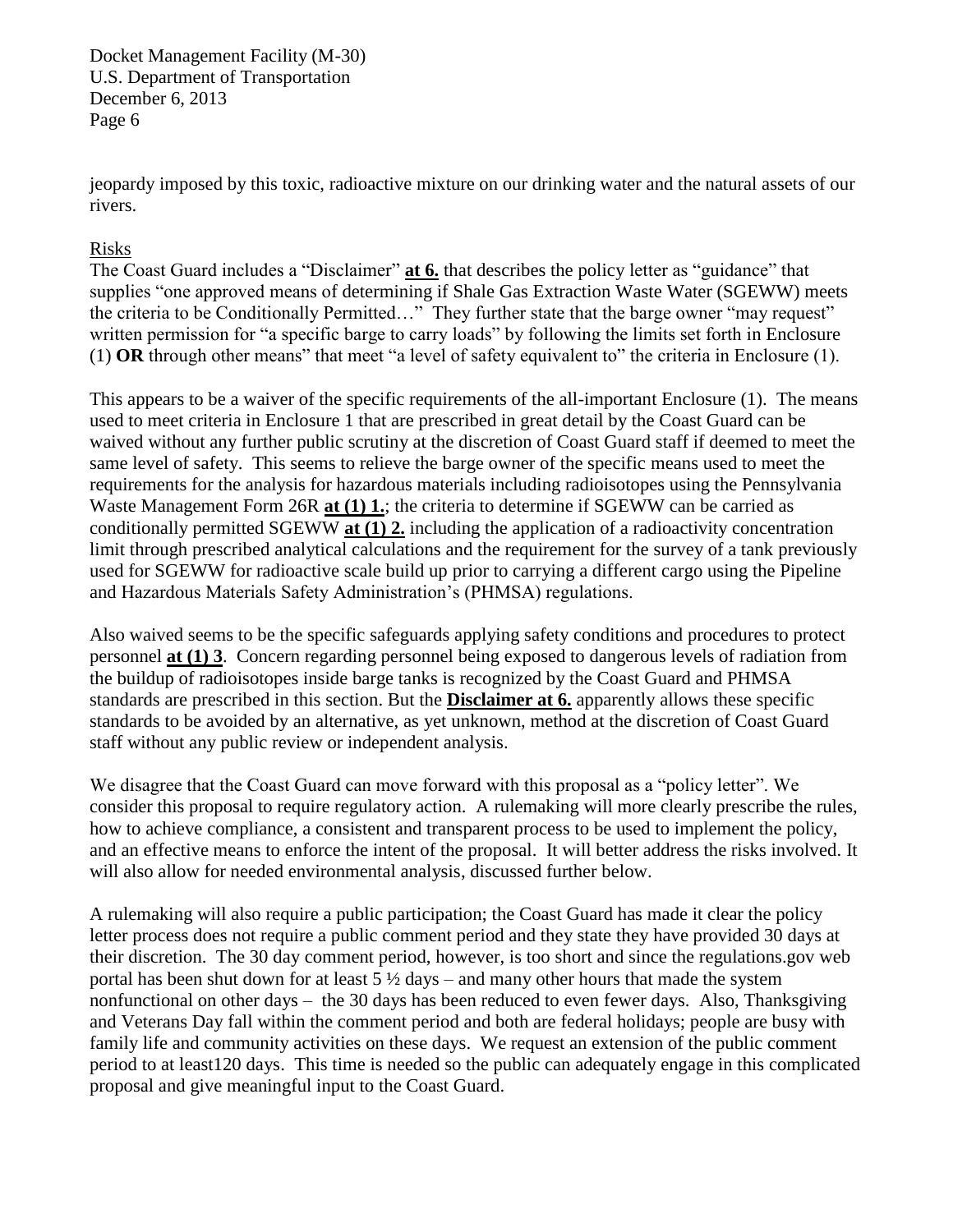jeopardy imposed by this toxic, radioactive mixture on our drinking water and the natural assets of our rivers.

## Risks

The Coast Guard includes a "Disclaimer" **at 6.** that describes the policy letter as "guidance" that supplies "one approved means of determining if Shale Gas Extraction Waste Water (SGEWW) meets the criteria to be Conditionally Permitted…" They further state that the barge owner "may request" written permission for "a specific barge to carry loads" by following the limits set forth in Enclosure (1) **OR** through other means" that meet "a level of safety equivalent to" the criteria in Enclosure (1).

This appears to be a waiver of the specific requirements of the all-important Enclosure (1). The means used to meet criteria in Enclosure 1 that are prescribed in great detail by the Coast Guard can be waived without any further public scrutiny at the discretion of Coast Guard staff if deemed to meet the same level of safety. This seems to relieve the barge owner of the specific means used to meet the requirements for the analysis for hazardous materials including radioisotopes using the Pennsylvania Waste Management Form 26R **at (1) 1.**; the criteria to determine if SGEWW can be carried as conditionally permitted SGEWW **at (1) 2.** including the application of a radioactivity concentration limit through prescribed analytical calculations and the requirement for the survey of a tank previously used for SGEWW for radioactive scale build up prior to carrying a different cargo using the Pipeline and Hazardous Materials Safety Administration's (PHMSA) regulations.

Also waived seems to be the specific safeguards applying safety conditions and procedures to protect personnel **at (1) 3**. Concern regarding personnel being exposed to dangerous levels of radiation from the buildup of radioisotopes inside barge tanks is recognized by the Coast Guard and PHMSA standards are prescribed in this section. But the **Disclaimer at 6.** apparently allows these specific standards to be avoided by an alternative, as yet unknown, method at the discretion of Coast Guard staff without any public review or independent analysis.

We disagree that the Coast Guard can move forward with this proposal as a "policy letter". We consider this proposal to require regulatory action. A rulemaking will more clearly prescribe the rules, how to achieve compliance, a consistent and transparent process to be used to implement the policy, and an effective means to enforce the intent of the proposal. It will better address the risks involved. It will also allow for needed environmental analysis, discussed further below.

A rulemaking will also require a public participation; the Coast Guard has made it clear the policy letter process does not require a public comment period and they state they have provided 30 days at their discretion. The 30 day comment period, however, is too short and since the regulations.gov web portal has been shut down for at least  $5\frac{1}{2}$  days – and many other hours that made the system nonfunctional on other days – the 30 days has been reduced to even fewer days. Also, Thanksgiving and Veterans Day fall within the comment period and both are federal holidays; people are busy with family life and community activities on these days. We request an extension of the public comment period to at least120 days. This time is needed so the public can adequately engage in this complicated proposal and give meaningful input to the Coast Guard.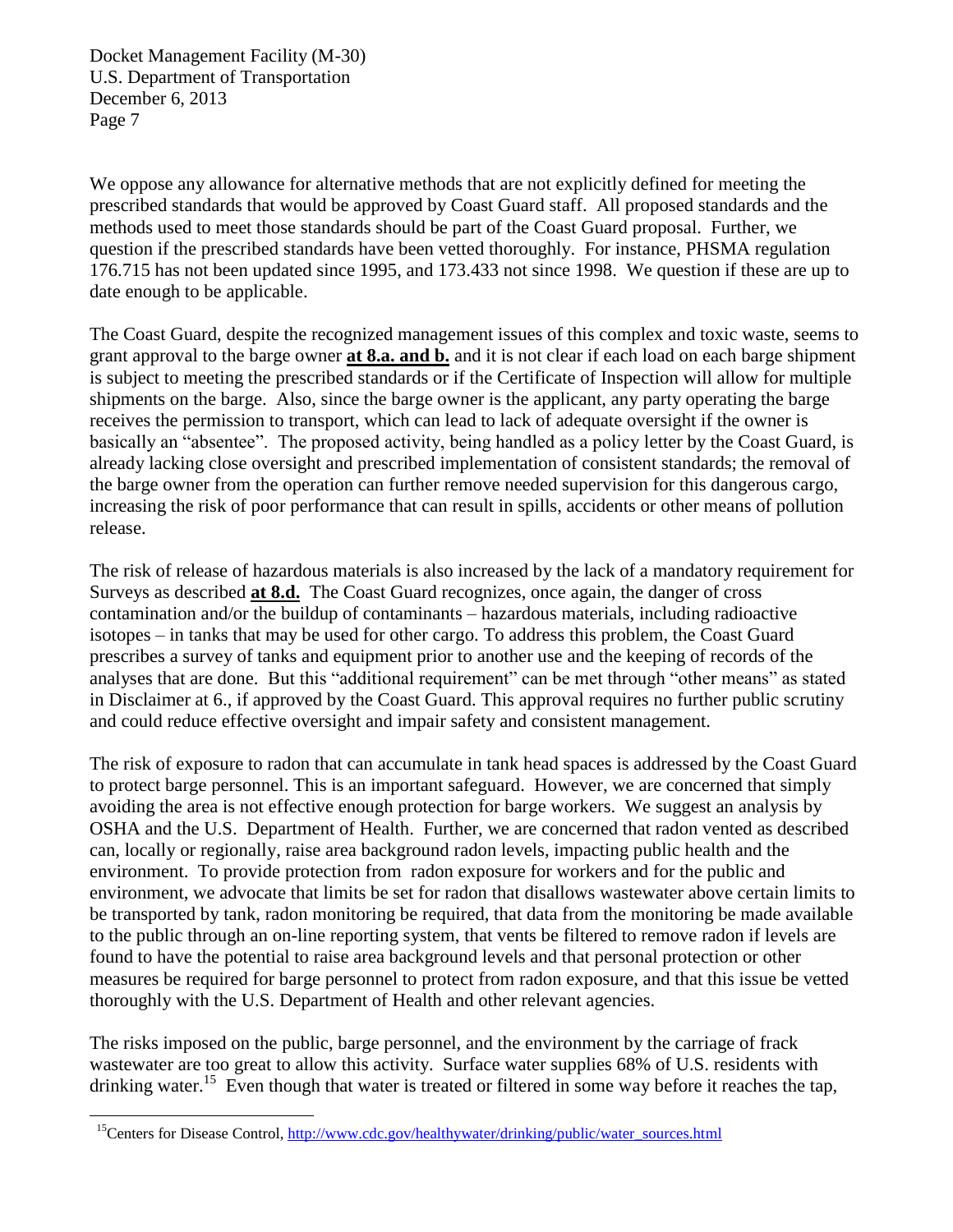We oppose any allowance for alternative methods that are not explicitly defined for meeting the prescribed standards that would be approved by Coast Guard staff. All proposed standards and the methods used to meet those standards should be part of the Coast Guard proposal. Further, we question if the prescribed standards have been vetted thoroughly. For instance, PHSMA regulation 176.715 has not been updated since 1995, and 173.433 not since 1998. We question if these are up to date enough to be applicable.

The Coast Guard, despite the recognized management issues of this complex and toxic waste, seems to grant approval to the barge owner **at 8.a. and b.** and it is not clear if each load on each barge shipment is subject to meeting the prescribed standards or if the Certificate of Inspection will allow for multiple shipments on the barge. Also, since the barge owner is the applicant, any party operating the barge receives the permission to transport, which can lead to lack of adequate oversight if the owner is basically an "absentee". The proposed activity, being handled as a policy letter by the Coast Guard, is already lacking close oversight and prescribed implementation of consistent standards; the removal of the barge owner from the operation can further remove needed supervision for this dangerous cargo, increasing the risk of poor performance that can result in spills, accidents or other means of pollution release.

The risk of release of hazardous materials is also increased by the lack of a mandatory requirement for Surveys as described **at 8.d.** The Coast Guard recognizes, once again, the danger of cross contamination and/or the buildup of contaminants – hazardous materials, including radioactive isotopes – in tanks that may be used for other cargo. To address this problem, the Coast Guard prescribes a survey of tanks and equipment prior to another use and the keeping of records of the analyses that are done. But this "additional requirement" can be met through "other means" as stated in Disclaimer at 6., if approved by the Coast Guard. This approval requires no further public scrutiny and could reduce effective oversight and impair safety and consistent management.

The risk of exposure to radon that can accumulate in tank head spaces is addressed by the Coast Guard to protect barge personnel. This is an important safeguard. However, we are concerned that simply avoiding the area is not effective enough protection for barge workers. We suggest an analysis by OSHA and the U.S. Department of Health. Further, we are concerned that radon vented as described can, locally or regionally, raise area background radon levels, impacting public health and the environment. To provide protection from radon exposure for workers and for the public and environment, we advocate that limits be set for radon that disallows wastewater above certain limits to be transported by tank, radon monitoring be required, that data from the monitoring be made available to the public through an on-line reporting system, that vents be filtered to remove radon if levels are found to have the potential to raise area background levels and that personal protection or other measures be required for barge personnel to protect from radon exposure, and that this issue be vetted thoroughly with the U.S. Department of Health and other relevant agencies.

The risks imposed on the public, barge personnel, and the environment by the carriage of frack wastewater are too great to allow this activity. Surface water supplies 68% of U.S. residents with drinking water.<sup>15</sup> Even though that water is treated or filtered in some way before it reaches the tap,

<sup>&</sup>lt;sup>15</sup>Centers for Disease Control, [http://www.cdc.gov/healthywater/drinking/public/water\\_sources.html](http://www.cdc.gov/healthywater/drinking/public/water_sources.html)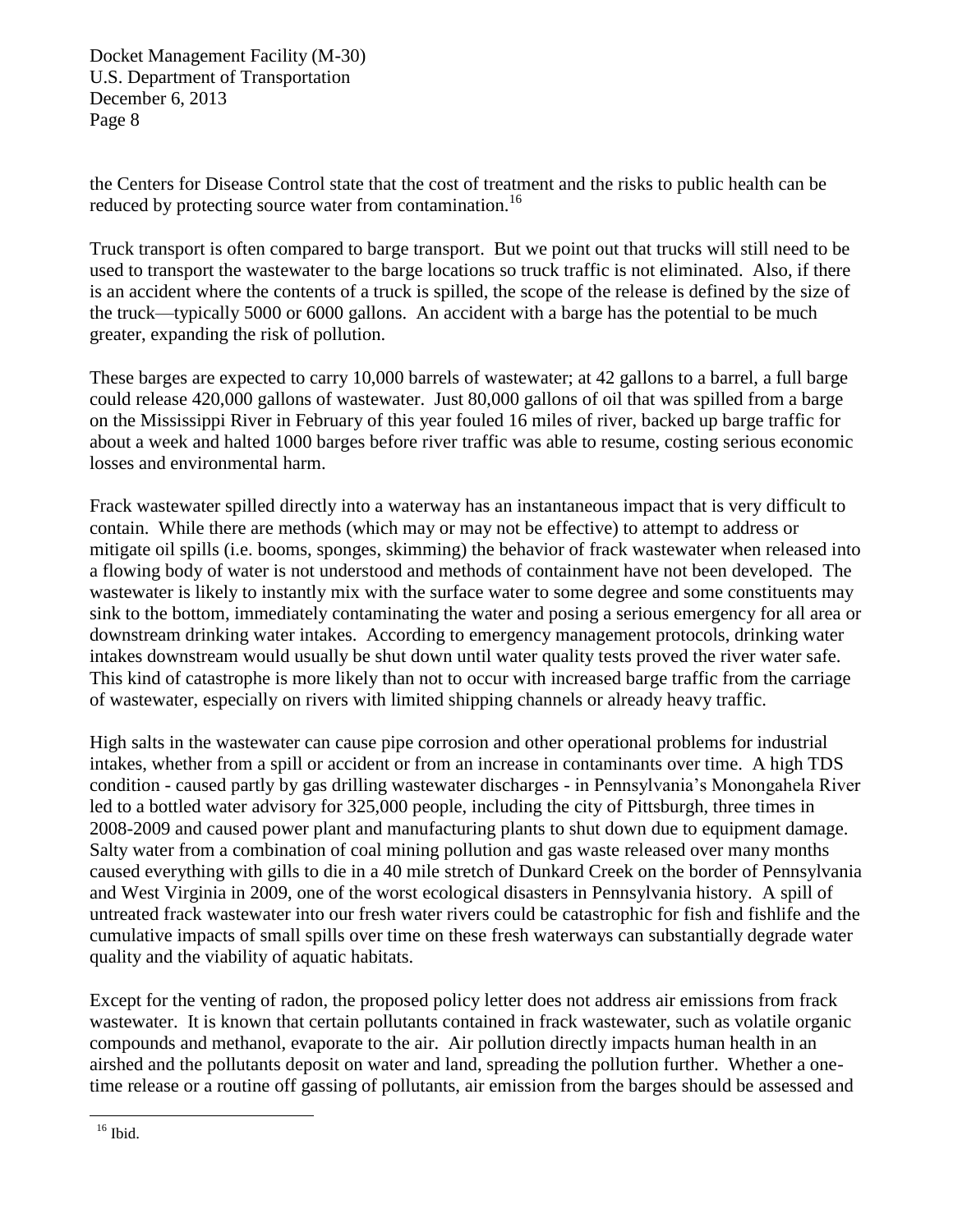the Centers for Disease Control state that the cost of treatment and the risks to public health can be reduced by protecting source water from contamination.<sup>16</sup>

Truck transport is often compared to barge transport. But we point out that trucks will still need to be used to transport the wastewater to the barge locations so truck traffic is not eliminated. Also, if there is an accident where the contents of a truck is spilled, the scope of the release is defined by the size of the truck—typically 5000 or 6000 gallons. An accident with a barge has the potential to be much greater, expanding the risk of pollution.

These barges are expected to carry 10,000 barrels of wastewater; at 42 gallons to a barrel, a full barge could release 420,000 gallons of wastewater. Just 80,000 gallons of oil that was spilled from a barge on the Mississippi River in February of this year fouled 16 miles of river, backed up barge traffic for about a week and halted 1000 barges before river traffic was able to resume, costing serious economic losses and environmental harm.

Frack wastewater spilled directly into a waterway has an instantaneous impact that is very difficult to contain. While there are methods (which may or may not be effective) to attempt to address or mitigate oil spills (i.e. booms, sponges, skimming) the behavior of frack wastewater when released into a flowing body of water is not understood and methods of containment have not been developed. The wastewater is likely to instantly mix with the surface water to some degree and some constituents may sink to the bottom, immediately contaminating the water and posing a serious emergency for all area or downstream drinking water intakes. According to emergency management protocols, drinking water intakes downstream would usually be shut down until water quality tests proved the river water safe. This kind of catastrophe is more likely than not to occur with increased barge traffic from the carriage of wastewater, especially on rivers with limited shipping channels or already heavy traffic.

High salts in the wastewater can cause pipe corrosion and other operational problems for industrial intakes, whether from a spill or accident or from an increase in contaminants over time. A high TDS condition - caused partly by gas drilling wastewater discharges - in Pennsylvania's Monongahela River led to a bottled water advisory for 325,000 people, including the city of Pittsburgh, three times in 2008-2009 and caused power plant and manufacturing plants to shut down due to equipment damage. Salty water from a combination of coal mining pollution and gas waste released over many months caused everything with gills to die in a 40 mile stretch of Dunkard Creek on the border of Pennsylvania and West Virginia in 2009, one of the worst ecological disasters in Pennsylvania history. A spill of untreated frack wastewater into our fresh water rivers could be catastrophic for fish and fishlife and the cumulative impacts of small spills over time on these fresh waterways can substantially degrade water quality and the viability of aquatic habitats.

Except for the venting of radon, the proposed policy letter does not address air emissions from frack wastewater. It is known that certain pollutants contained in frack wastewater, such as volatile organic compounds and methanol, evaporate to the air. Air pollution directly impacts human health in an airshed and the pollutants deposit on water and land, spreading the pollution further. Whether a onetime release or a routine off gassing of pollutants, air emission from the barges should be assessed and

<sup>16</sup> Ibid.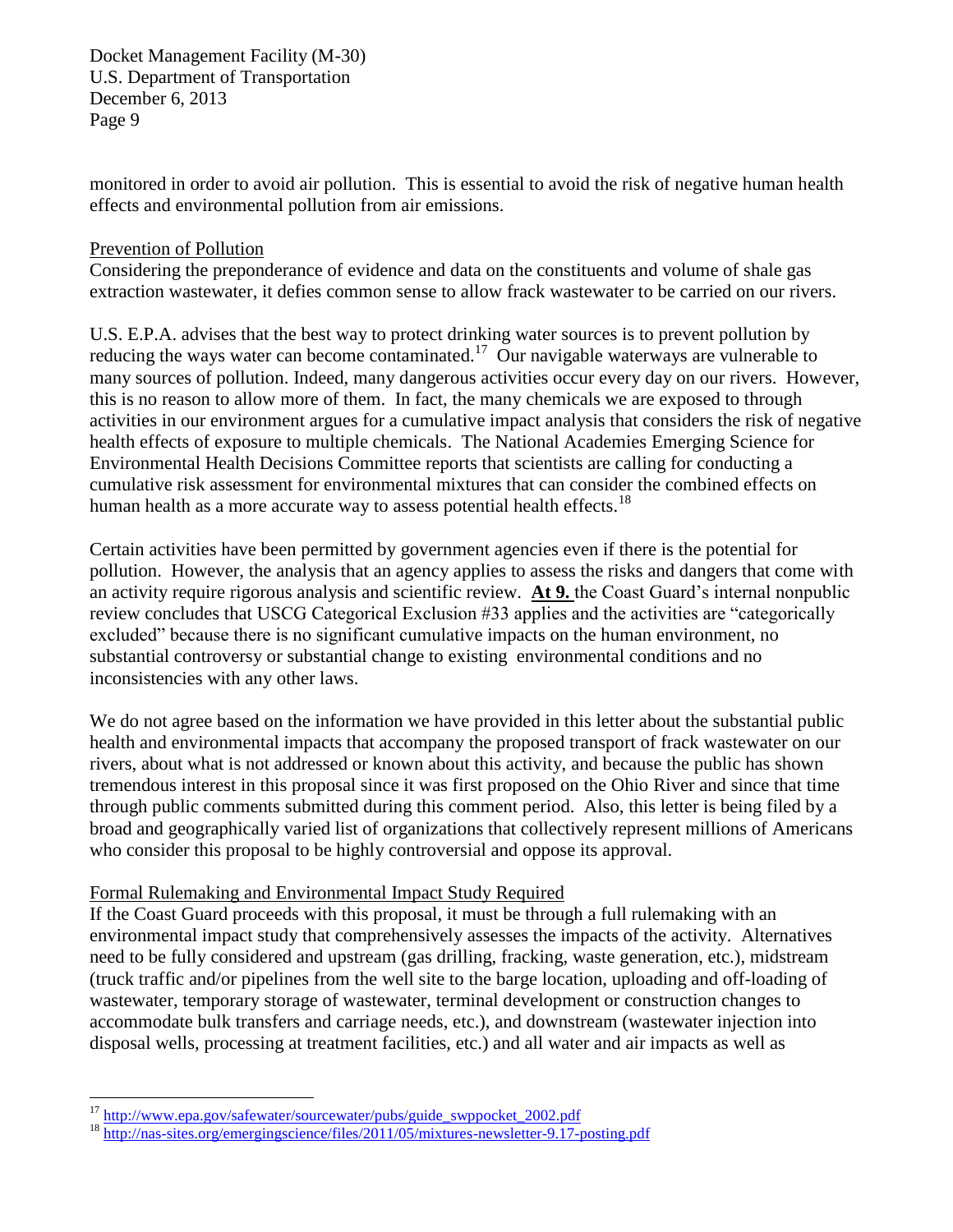monitored in order to avoid air pollution. This is essential to avoid the risk of negative human health effects and environmental pollution from air emissions.

### Prevention of Pollution

Considering the preponderance of evidence and data on the constituents and volume of shale gas extraction wastewater, it defies common sense to allow frack wastewater to be carried on our rivers.

U.S. E.P.A. advises that the best way to protect drinking water sources is to prevent pollution by reducing the ways water can become contaminated.<sup>17</sup> Our navigable waterways are vulnerable to many sources of pollution. Indeed, many dangerous activities occur every day on our rivers. However, this is no reason to allow more of them. In fact, the many chemicals we are exposed to through activities in our environment argues for a cumulative impact analysis that considers the risk of negative health effects of exposure to multiple chemicals. The National Academies Emerging Science for Environmental Health Decisions Committee reports that scientists are calling for conducting a cumulative risk assessment for environmental mixtures that can consider the combined effects on human health as a more accurate way to assess potential health effects.<sup>18</sup>

Certain activities have been permitted by government agencies even if there is the potential for pollution. However, the analysis that an agency applies to assess the risks and dangers that come with an activity require rigorous analysis and scientific review. **At 9.** the Coast Guard's internal nonpublic review concludes that USCG Categorical Exclusion #33 applies and the activities are "categorically excluded" because there is no significant cumulative impacts on the human environment, no substantial controversy or substantial change to existing environmental conditions and no inconsistencies with any other laws.

We do not agree based on the information we have provided in this letter about the substantial public health and environmental impacts that accompany the proposed transport of frack wastewater on our rivers, about what is not addressed or known about this activity, and because the public has shown tremendous interest in this proposal since it was first proposed on the Ohio River and since that time through public comments submitted during this comment period. Also, this letter is being filed by a broad and geographically varied list of organizations that collectively represent millions of Americans who consider this proposal to be highly controversial and oppose its approval.

### Formal Rulemaking and Environmental Impact Study Required

If the Coast Guard proceeds with this proposal, it must be through a full rulemaking with an environmental impact study that comprehensively assesses the impacts of the activity. Alternatives need to be fully considered and upstream (gas drilling, fracking, waste generation, etc.), midstream (truck traffic and/or pipelines from the well site to the barge location, uploading and off-loading of wastewater, temporary storage of wastewater, terminal development or construction changes to accommodate bulk transfers and carriage needs, etc.), and downstream (wastewater injection into disposal wells, processing at treatment facilities, etc.) and all water and air impacts as well as

<sup>&</sup>lt;sup>17</sup> [http://www.epa.gov/safewater/sourcewater/pubs/guide\\_swppocket\\_2002.pdf](http://www.epa.gov/safewater/sourcewater/pubs/guide_swppocket_2002.pdf)

<sup>18</sup> <http://nas-sites.org/emergingscience/files/2011/05/mixtures-newsletter-9.17-posting.pdf>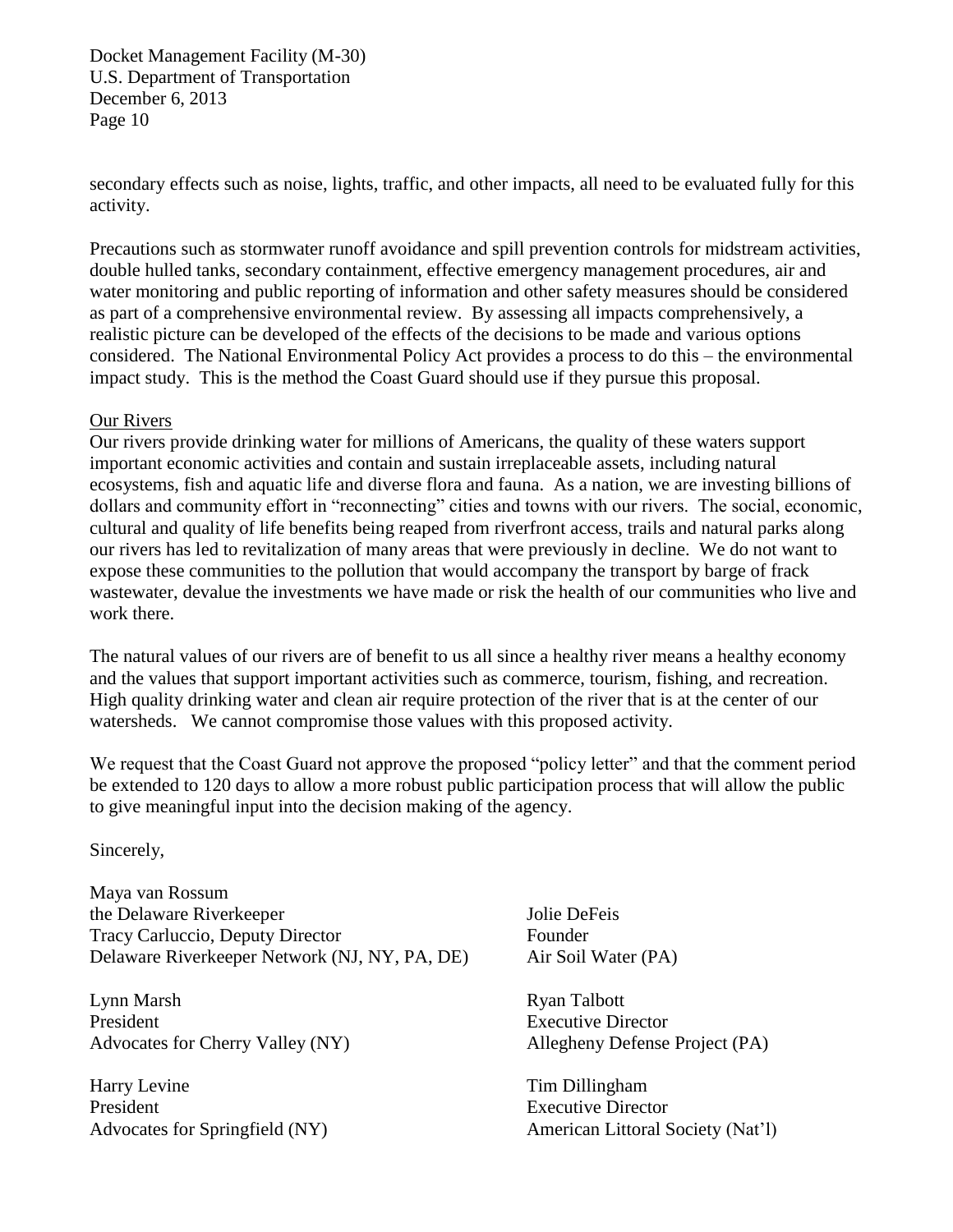secondary effects such as noise, lights, traffic, and other impacts, all need to be evaluated fully for this activity.

Precautions such as stormwater runoff avoidance and spill prevention controls for midstream activities, double hulled tanks, secondary containment, effective emergency management procedures, air and water monitoring and public reporting of information and other safety measures should be considered as part of a comprehensive environmental review. By assessing all impacts comprehensively, a realistic picture can be developed of the effects of the decisions to be made and various options considered. The National Environmental Policy Act provides a process to do this – the environmental impact study. This is the method the Coast Guard should use if they pursue this proposal.

### Our Rivers

Our rivers provide drinking water for millions of Americans, the quality of these waters support important economic activities and contain and sustain irreplaceable assets, including natural ecosystems, fish and aquatic life and diverse flora and fauna. As a nation, we are investing billions of dollars and community effort in "reconnecting" cities and towns with our rivers. The social, economic, cultural and quality of life benefits being reaped from riverfront access, trails and natural parks along our rivers has led to revitalization of many areas that were previously in decline. We do not want to expose these communities to the pollution that would accompany the transport by barge of frack wastewater, devalue the investments we have made or risk the health of our communities who live and work there.

The natural values of our rivers are of benefit to us all since a healthy river means a healthy economy and the values that support important activities such as commerce, tourism, fishing, and recreation. High quality drinking water and clean air require protection of the river that is at the center of our watersheds. We cannot compromise those values with this proposed activity.

We request that the Coast Guard not approve the proposed "policy letter" and that the comment period be extended to 120 days to allow a more robust public participation process that will allow the public to give meaningful input into the decision making of the agency.

Sincerely,

Maya van Rossum the Delaware Riverkeeper Tracy Carluccio, Deputy Director Delaware Riverkeeper Network (NJ, NY, PA, DE)

Lynn Marsh President Advocates for Cherry Valley (NY)

Harry Levine President Advocates for Springfield (NY)

Jolie DeFeis Founder Air Soil Water (PA)

Ryan Talbott Executive Director Allegheny Defense Project (PA)

Tim Dillingham Executive Director American Littoral Society (Nat'l)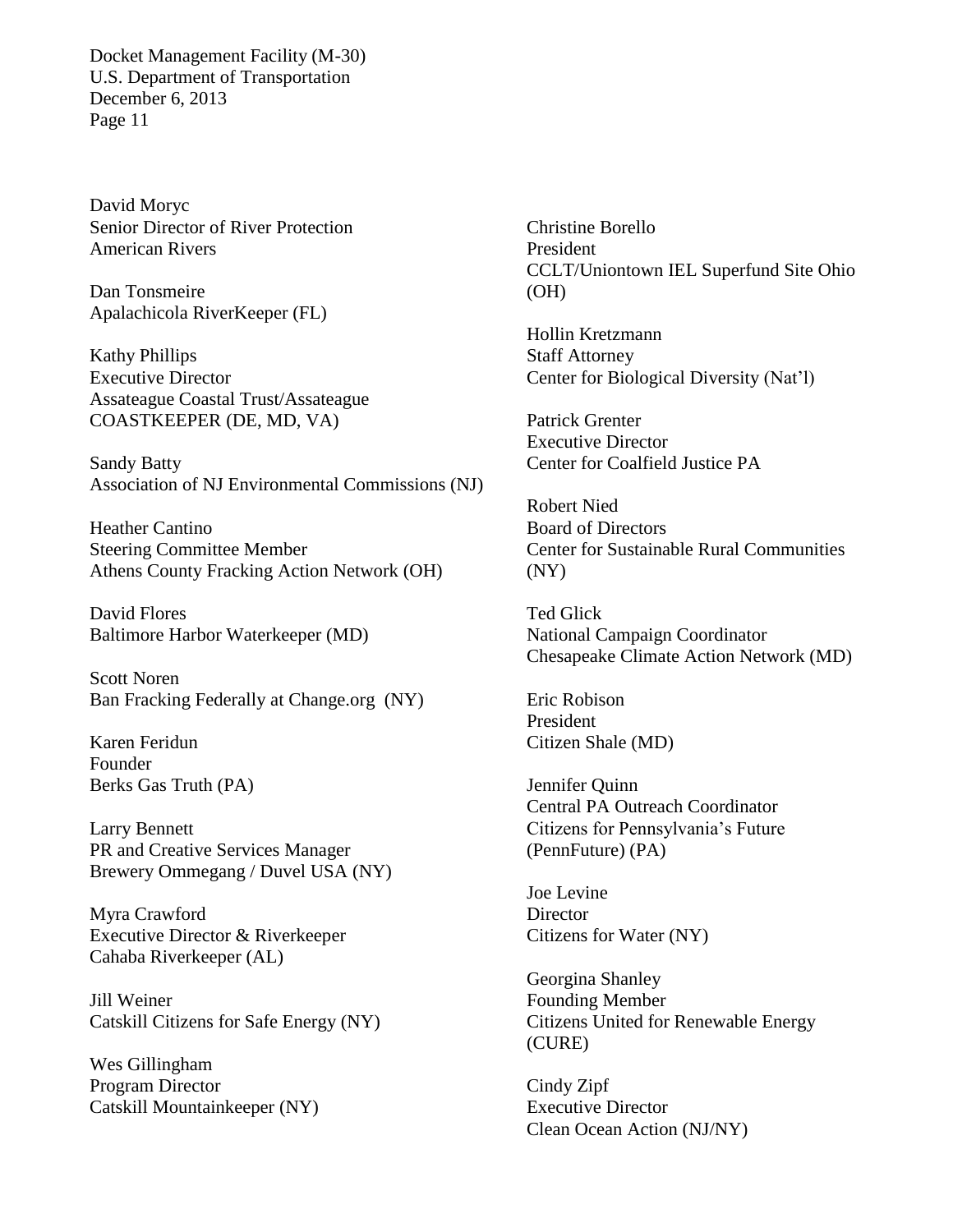David Moryc Senior Director of River Protection American Rivers

Dan Tonsmeire Apalachicola RiverKeeper (FL)

Kathy Phillips Executive Director Assateague Coastal Trust/Assateague COASTKEEPER (DE, MD, VA)

Sandy Batty Association of NJ Environmental Commissions (NJ)

Heather Cantino Steering Committee Member Athens County Fracking Action Network (OH)

David Flores Baltimore Harbor Waterkeeper (MD)

Scott Noren Ban Fracking Federally at Change.org (NY)

Karen Feridun Founder Berks Gas Truth (PA)

Larry Bennett PR and Creative Services Manager Brewery Ommegang / Duvel USA (NY)

Myra Crawford Executive Director & Riverkeeper Cahaba Riverkeeper (AL)

Jill Weiner Catskill Citizens for Safe Energy (NY)

Wes Gillingham Program Director Catskill Mountainkeeper (NY) Christine Borello President CCLT/Uniontown IEL Superfund Site Ohio (OH)

Hollin Kretzmann Staff Attorney Center for Biological Diversity (Nat'l)

Patrick Grenter Executive Director Center for Coalfield Justice PA

Robert Nied Board of Directors Center for Sustainable Rural Communities (NY)

Ted Glick National Campaign Coordinator Chesapeake Climate Action Network (MD)

Eric Robison President Citizen Shale (MD)

Jennifer Quinn Central PA Outreach Coordinator Citizens for Pennsylvania's Future (PennFuture) (PA)

Joe Levine **Director** Citizens for Water (NY)

Georgina Shanley Founding Member Citizens United for Renewable Energy (CURE)

Cindy Zipf Executive Director Clean Ocean Action (NJ/NY)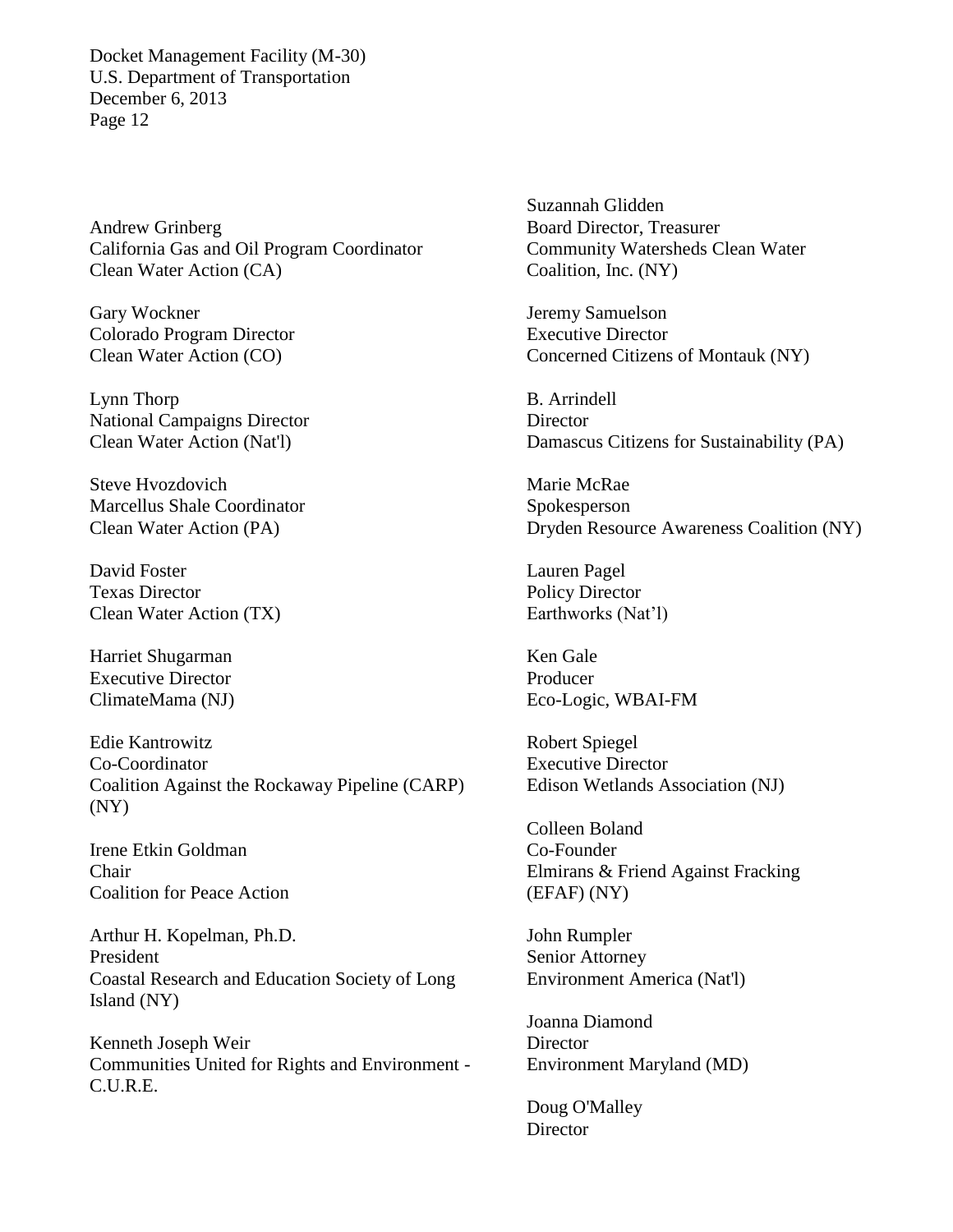Andrew Grinberg California Gas and Oil Program Coordinator Clean Water Action (CA)

Gary Wockner Colorado Program Director Clean Water Action (CO)

Lynn Thorp National Campaigns Director Clean Water Action (Nat'l)

Steve Hvozdovich Marcellus Shale Coordinator Clean Water Action (PA)

David Foster Texas Director Clean Water Action (TX)

Harriet Shugarman Executive Director ClimateMama (NJ)

Edie Kantrowitz Co-Coordinator Coalition Against the Rockaway Pipeline (CARP) (NY)

Irene Etkin Goldman Chair Coalition for Peace Action

Arthur H. Kopelman, Ph.D. President Coastal Research and Education Society of Long Island (NY)

Kenneth Joseph Weir Communities United for Rights and Environment - C.U.R.E.

Suzannah Glidden Board Director, Treasurer Community Watersheds Clean Water Coalition, Inc. (NY)

Jeremy Samuelson Executive Director Concerned Citizens of Montauk (NY)

B. Arrindell **Director** Damascus Citizens for Sustainability (PA)

Marie McRae Spokesperson Dryden Resource Awareness Coalition (NY)

Lauren Pagel Policy Director Earthworks (Nat'l)

Ken Gale Producer Eco-Logic, WBAI-FM

Robert Spiegel Executive Director Edison Wetlands Association (NJ)

Colleen Boland Co-Founder Elmirans & Friend Against Fracking (EFAF) (NY)

John Rumpler Senior Attorney Environment America (Nat'l)

Joanna Diamond **Director** Environment Maryland (MD)

Doug O'Malley **Director**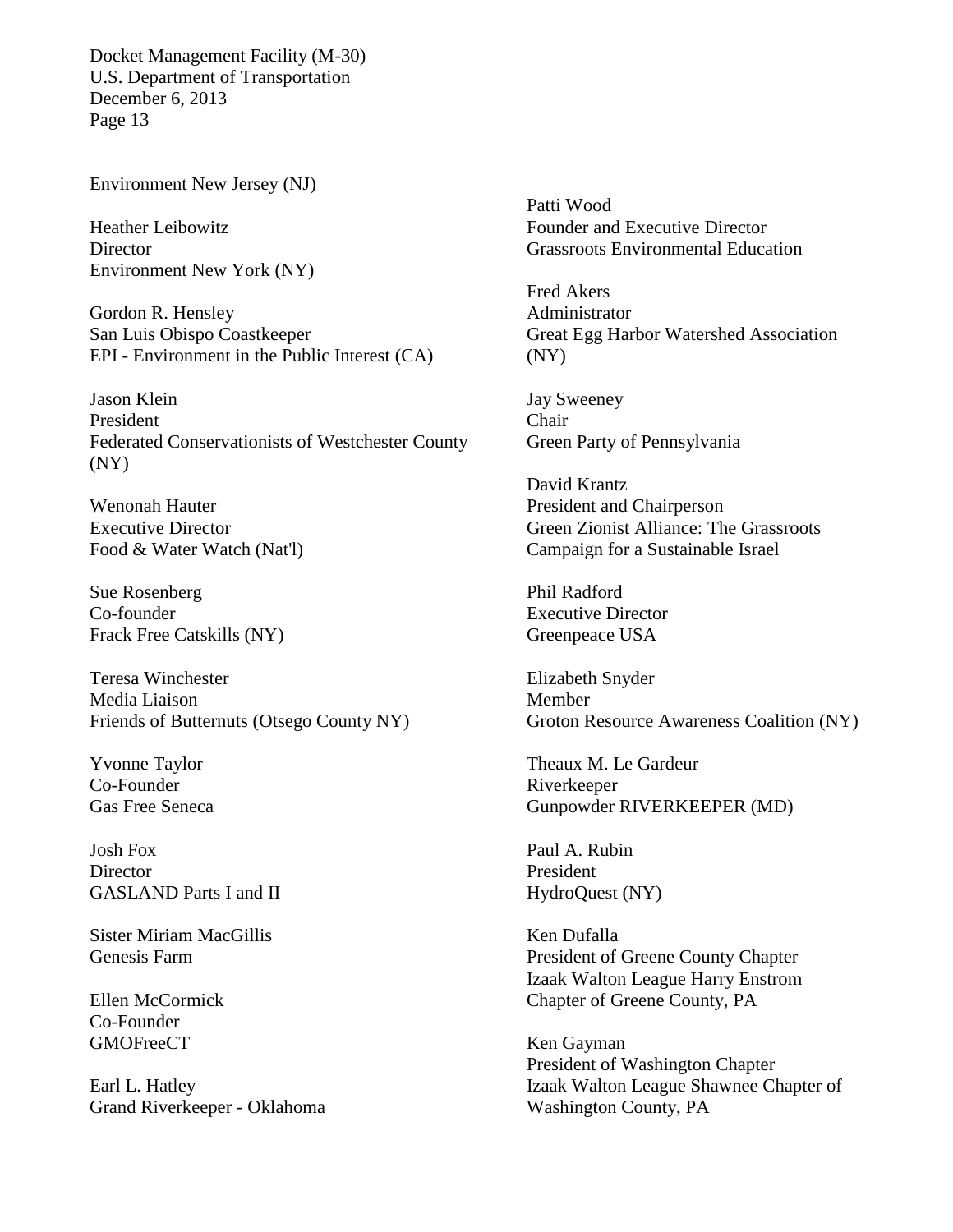Environment New Jersey (NJ)

Heather Leibowitz **Director** Environment New York (NY)

Gordon R. Hensley San Luis Obispo Coastkeeper EPI - Environment in the Public Interest (CA)

Jason Klein President Federated Conservationists of Westchester County (NY)

Wenonah Hauter Executive Director Food & Water Watch (Nat'l)

Sue Rosenberg Co-founder Frack Free Catskills (NY)

Teresa Winchester Media Liaison Friends of Butternuts (Otsego County NY)

Yvonne Taylor Co-Founder Gas Free Seneca

Josh Fox **Director** GASLAND Parts I and II

Sister Miriam MacGillis Genesis Farm

Ellen McCormick Co-Founder GMOFreeCT

Earl L. Hatley Grand Riverkeeper - Oklahoma

Patti Wood Founder and Executive Director Grassroots Environmental Education

Fred Akers Administrator Great Egg Harbor Watershed Association (NY)

Jay Sweeney Chair Green Party of Pennsylvania

David Krantz President and Chairperson Green Zionist Alliance: The Grassroots Campaign for a Sustainable Israel

Phil Radford Executive Director Greenpeace USA

Elizabeth Snyder Member Groton Resource Awareness Coalition (NY)

Theaux M. Le Gardeur Riverkeeper Gunpowder RIVERKEEPER (MD)

Paul A. Rubin President HydroQuest (NY)

Ken Dufalla President of Greene County Chapter Izaak Walton League Harry Enstrom Chapter of Greene County, PA

Ken Gayman President of Washington Chapter Izaak Walton League Shawnee Chapter of Washington County, PA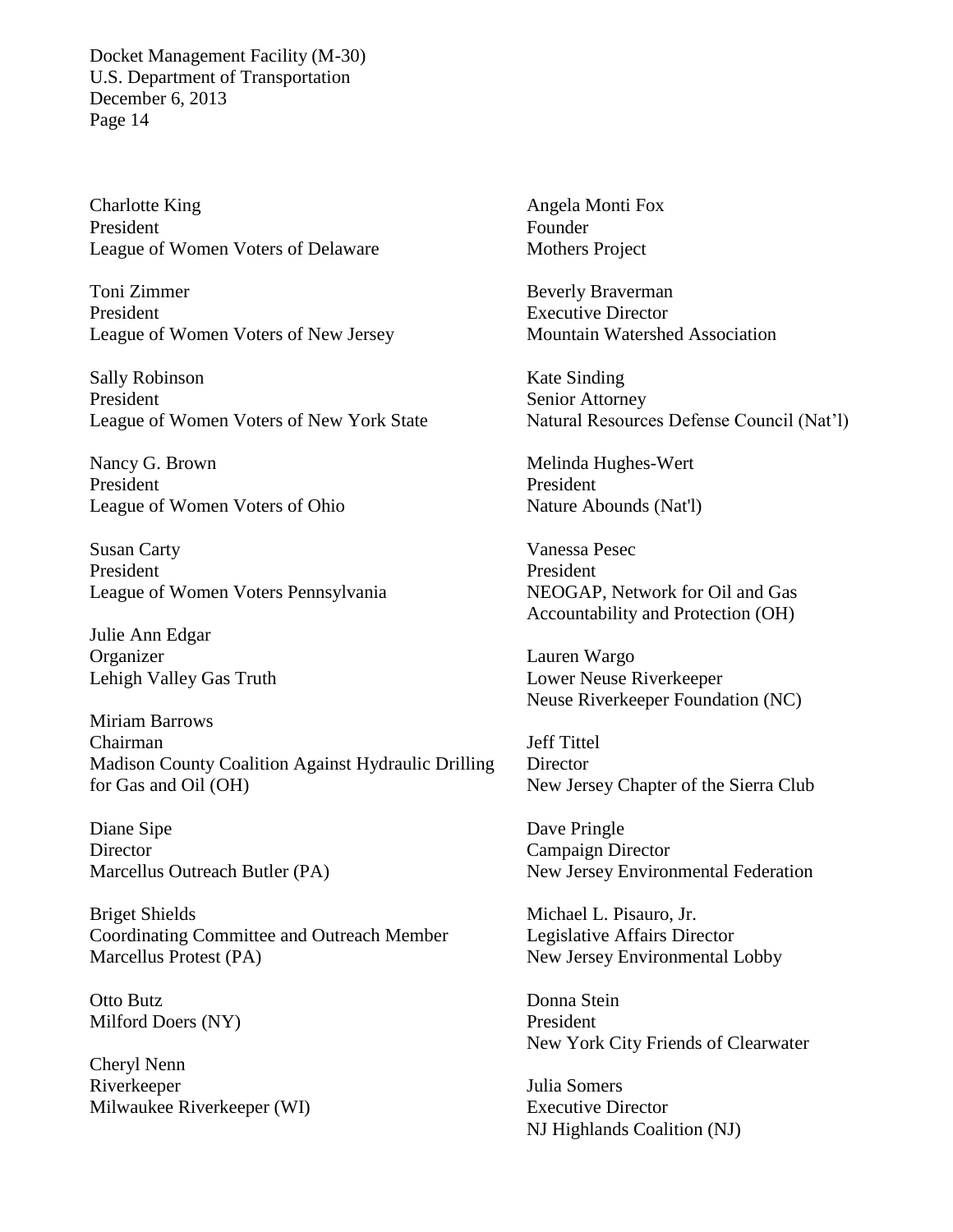Charlotte King President League of Women Voters of Delaware

Toni Zimmer President League of Women Voters of New Jersey

Sally Robinson President League of Women Voters of New York State

Nancy G. Brown President League of Women Voters of Ohio

Susan Carty President League of Women Voters Pennsylvania

Julie Ann Edgar Organizer Lehigh Valley Gas Truth

Miriam Barrows Chairman Madison County Coalition Against Hydraulic Drilling for Gas and Oil (OH)

Diane Sipe **Director** Marcellus Outreach Butler (PA)

Briget Shields Coordinating Committee and Outreach Member Marcellus Protest (PA)

Otto Butz Milford Doers (NY)

Cheryl Nenn Riverkeeper Milwaukee Riverkeeper (WI) Angela Monti Fox Founder Mothers Project

Beverly Braverman Executive Director Mountain Watershed Association

Kate Sinding Senior Attorney Natural Resources Defense Council (Nat'l)

Melinda Hughes-Wert President Nature Abounds (Nat'l)

Vanessa Pesec President NEOGAP, Network for Oil and Gas Accountability and Protection (OH)

Lauren Wargo Lower Neuse Riverkeeper Neuse Riverkeeper Foundation (NC)

Jeff Tittel Director New Jersey Chapter of the Sierra Club

Dave Pringle Campaign Director New Jersey Environmental Federation

Michael L. Pisauro, Jr. Legislative Affairs Director New Jersey Environmental Lobby

Donna Stein President New York City Friends of Clearwater

Julia Somers Executive Director NJ Highlands Coalition (NJ)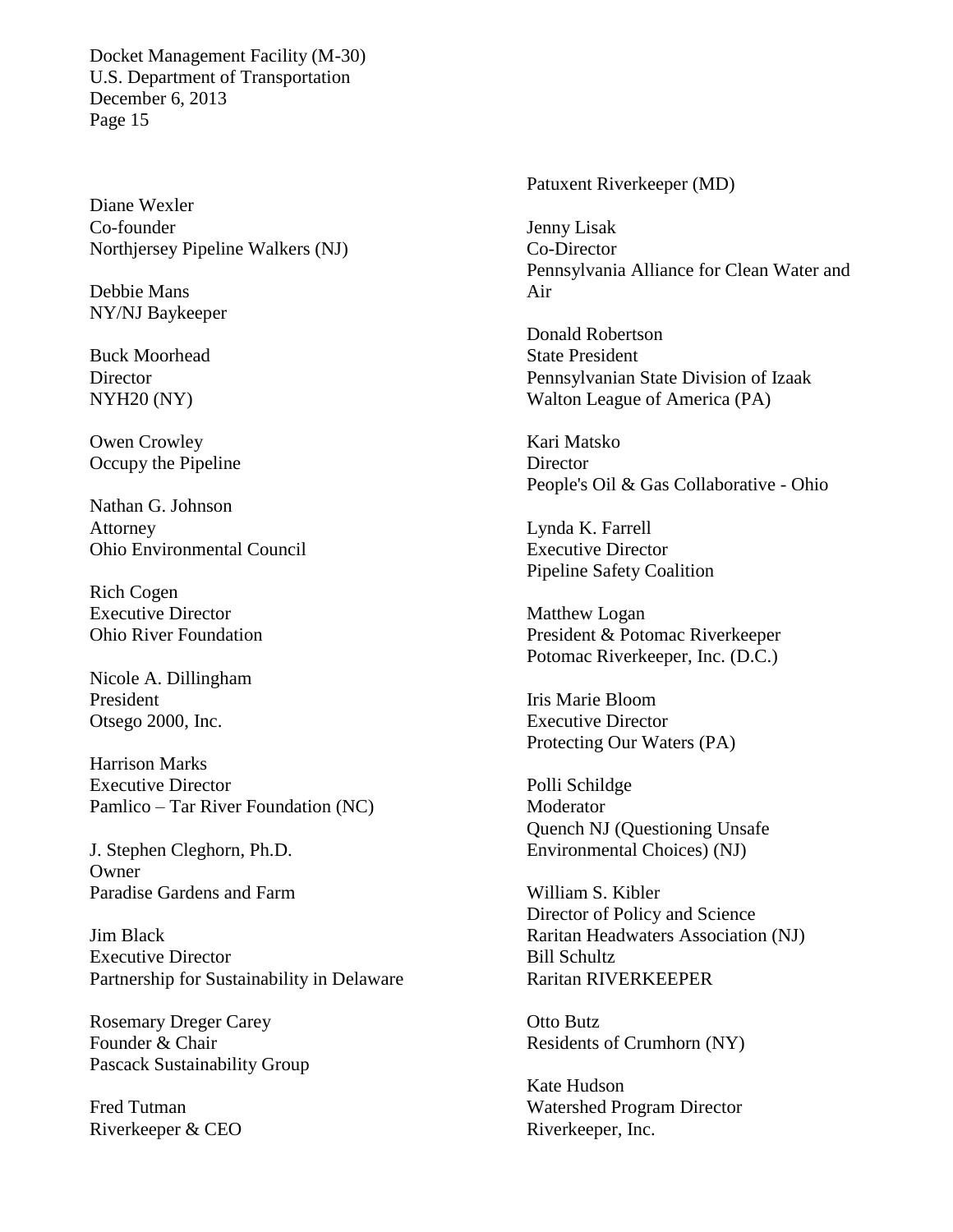Diane Wexler Co-founder Northjersey Pipeline Walkers (NJ)

Debbie Mans NY/NJ Baykeeper

Buck Moorhead **Director** NYH20 (NY)

Owen Crowley Occupy the Pipeline

Nathan G. Johnson Attorney Ohio Environmental Council

Rich Cogen Executive Director Ohio River Foundation

Nicole A. Dillingham President Otsego 2000, Inc.

Harrison Marks Executive Director Pamlico – Tar River Foundation (NC)

J. Stephen Cleghorn, Ph.D. **Owner** Paradise Gardens and Farm

Jim Black Executive Director Partnership for Sustainability in Delaware

Rosemary Dreger Carey Founder & Chair Pascack Sustainability Group

Fred Tutman Riverkeeper & CEO Patuxent Riverkeeper (MD)

Jenny Lisak Co-Director Pennsylvania Alliance for Clean Water and Air

Donald Robertson State President Pennsylvanian State Division of Izaak Walton League of America (PA)

Kari Matsko **Director** People's Oil & Gas Collaborative - Ohio

Lynda K. Farrell Executive Director Pipeline Safety Coalition

Matthew Logan President & Potomac Riverkeeper Potomac Riverkeeper, Inc. (D.C.)

Iris Marie Bloom Executive Director Protecting Our Waters (PA)

Polli Schildge Moderator Quench NJ (Questioning Unsafe Environmental Choices) (NJ)

William S. Kibler Director of Policy and Science Raritan Headwaters Association (NJ) Bill Schultz Raritan RIVERKEEPER

Otto Butz Residents of Crumhorn (NY)

Kate Hudson Watershed Program Director Riverkeeper, Inc.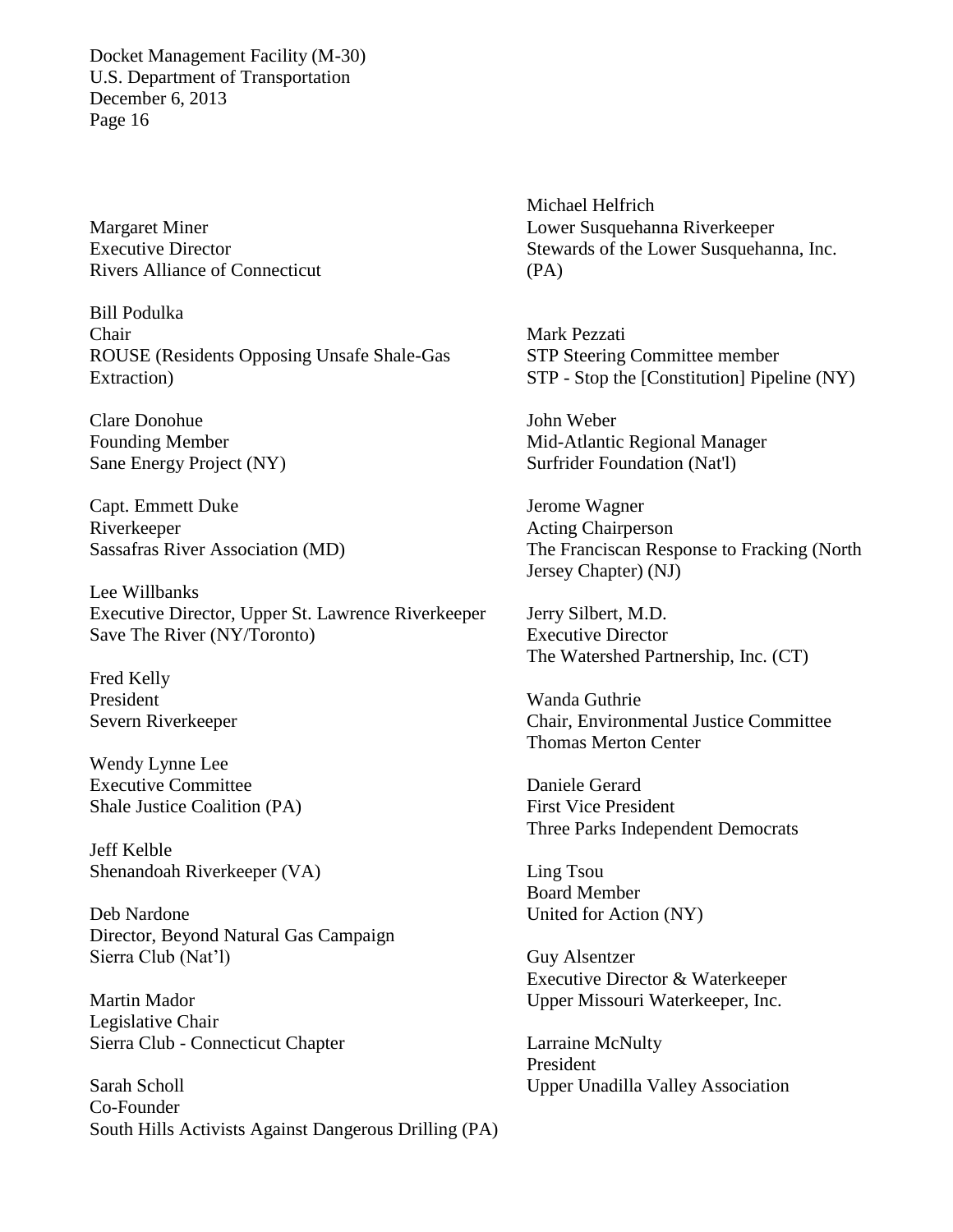Margaret Miner Executive Director Rivers Alliance of Connecticut

Bill Podulka Chair ROUSE (Residents Opposing Unsafe Shale-Gas Extraction)

Clare Donohue Founding Member Sane Energy Project (NY)

Capt. Emmett Duke Riverkeeper Sassafras River Association (MD)

Lee Willbanks Executive Director, Upper St. Lawrence Riverkeeper Save The River (NY/Toronto)

Fred Kelly President Severn Riverkeeper

Wendy Lynne Lee Executive Committee Shale Justice Coalition (PA)

Jeff Kelble Shenandoah Riverkeeper (VA)

Deb Nardone Director, Beyond Natural Gas Campaign Sierra Club (Nat'l)

Martin Mador Legislative Chair Sierra Club - Connecticut Chapter

Sarah Scholl Co-Founder South Hills Activists Against Dangerous Drilling (PA)

Michael Helfrich Lower Susquehanna Riverkeeper Stewards of the Lower Susquehanna, Inc. (PA)

Mark Pezzati STP Steering Committee member STP - Stop the [Constitution] Pipeline (NY)

John Weber Mid-Atlantic Regional Manager Surfrider Foundation (Nat'l)

Jerome Wagner Acting Chairperson The Franciscan Response to Fracking (North Jersey Chapter) (NJ)

Jerry Silbert, M.D. Executive Director The Watershed Partnership, Inc. (CT)

Wanda Guthrie Chair, Environmental Justice Committee Thomas Merton Center

Daniele Gerard First Vice President Three Parks Independent Democrats

Ling Tsou Board Member United for Action (NY)

Guy Alsentzer Executive Director & Waterkeeper Upper Missouri Waterkeeper, Inc.

Larraine McNulty President Upper Unadilla Valley Association